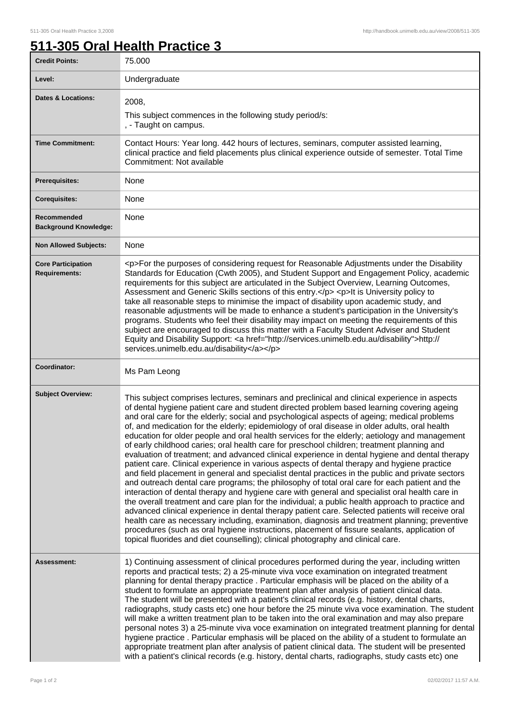## **511-305 Oral Health Practice 3**

| <b>Credit Points:</b>                             | 75.000                                                                                                                                                                                                                                                                                                                                                                                                                                                                                                                                                                                                                                                                                                                                                                                                                                                                                                                                                                                                                                                                                                                                                                                                                                                                                                                                                                                                                                                                                                                                                                                         |
|---------------------------------------------------|------------------------------------------------------------------------------------------------------------------------------------------------------------------------------------------------------------------------------------------------------------------------------------------------------------------------------------------------------------------------------------------------------------------------------------------------------------------------------------------------------------------------------------------------------------------------------------------------------------------------------------------------------------------------------------------------------------------------------------------------------------------------------------------------------------------------------------------------------------------------------------------------------------------------------------------------------------------------------------------------------------------------------------------------------------------------------------------------------------------------------------------------------------------------------------------------------------------------------------------------------------------------------------------------------------------------------------------------------------------------------------------------------------------------------------------------------------------------------------------------------------------------------------------------------------------------------------------------|
| Level:                                            | Undergraduate                                                                                                                                                                                                                                                                                                                                                                                                                                                                                                                                                                                                                                                                                                                                                                                                                                                                                                                                                                                                                                                                                                                                                                                                                                                                                                                                                                                                                                                                                                                                                                                  |
| <b>Dates &amp; Locations:</b>                     | 2008,<br>This subject commences in the following study period/s:<br>, - Taught on campus.                                                                                                                                                                                                                                                                                                                                                                                                                                                                                                                                                                                                                                                                                                                                                                                                                                                                                                                                                                                                                                                                                                                                                                                                                                                                                                                                                                                                                                                                                                      |
| <b>Time Commitment:</b>                           | Contact Hours: Year long. 442 hours of lectures, seminars, computer assisted learning,<br>clinical practice and field placements plus clinical experience outside of semester. Total Time<br>Commitment: Not available                                                                                                                                                                                                                                                                                                                                                                                                                                                                                                                                                                                                                                                                                                                                                                                                                                                                                                                                                                                                                                                                                                                                                                                                                                                                                                                                                                         |
| <b>Prerequisites:</b>                             | None                                                                                                                                                                                                                                                                                                                                                                                                                                                                                                                                                                                                                                                                                                                                                                                                                                                                                                                                                                                                                                                                                                                                                                                                                                                                                                                                                                                                                                                                                                                                                                                           |
| <b>Corequisites:</b>                              | None                                                                                                                                                                                                                                                                                                                                                                                                                                                                                                                                                                                                                                                                                                                                                                                                                                                                                                                                                                                                                                                                                                                                                                                                                                                                                                                                                                                                                                                                                                                                                                                           |
| Recommended<br><b>Background Knowledge:</b>       | None                                                                                                                                                                                                                                                                                                                                                                                                                                                                                                                                                                                                                                                                                                                                                                                                                                                                                                                                                                                                                                                                                                                                                                                                                                                                                                                                                                                                                                                                                                                                                                                           |
| <b>Non Allowed Subjects:</b>                      | None                                                                                                                                                                                                                                                                                                                                                                                                                                                                                                                                                                                                                                                                                                                                                                                                                                                                                                                                                                                                                                                                                                                                                                                                                                                                                                                                                                                                                                                                                                                                                                                           |
| <b>Core Participation</b><br><b>Requirements:</b> | <p>For the purposes of considering request for Reasonable Adjustments under the Disability<br/>Standards for Education (Cwth 2005), and Student Support and Engagement Policy, academic<br/>requirements for this subject are articulated in the Subject Overview, Learning Outcomes,<br/>Assessment and Generic Skills sections of this entry.</p> <p>lt is University policy to<br/>take all reasonable steps to minimise the impact of disability upon academic study, and<br/>reasonable adjustments will be made to enhance a student's participation in the University's<br/>programs. Students who feel their disability may impact on meeting the requirements of this<br/>subject are encouraged to discuss this matter with a Faculty Student Adviser and Student<br/>Equity and Disability Support: &lt; a href="http://services.unimelb.edu.au/disability"&gt;http://<br/>services.unimelb.edu.au/disability</p>                                                                                                                                                                                                                                                                                                                                                                                                                                                                                                                                                                                                                                                                   |
| Coordinator:                                      | Ms Pam Leong                                                                                                                                                                                                                                                                                                                                                                                                                                                                                                                                                                                                                                                                                                                                                                                                                                                                                                                                                                                                                                                                                                                                                                                                                                                                                                                                                                                                                                                                                                                                                                                   |
| <b>Subject Overview:</b>                          | This subject comprises lectures, seminars and preclinical and clinical experience in aspects<br>of dental hygiene patient care and student directed problem based learning covering ageing<br>and oral care for the elderly; social and psychological aspects of ageing; medical problems<br>of, and medication for the elderly; epidemiology of oral disease in older adults, oral health<br>education for older people and oral health services for the elderly; aetiology and management<br>of early childhood caries; oral health care for preschool children; treatment planning and<br>evaluation of treatment; and advanced clinical experience in dental hygiene and dental therapy<br>patient care. Clinical experience in various aspects of dental therapy and hygiene practice<br>and field placement in general and specialist dental practices in the public and private sectors<br>and outreach dental care programs; the philosophy of total oral care for each patient and the<br>interaction of dental therapy and hygiene care with general and specialist oral health care in<br>the overall treatment and care plan for the individual; a public health approach to practice and<br>advanced clinical experience in dental therapy patient care. Selected patients will receive oral<br>health care as necessary including, examination, diagnosis and treatment planning; preventive<br>procedures (such as oral hygiene instructions, placement of fissure sealants, application of<br>topical fluorides and diet counselling); clinical photography and clinical care. |
| Assessment:                                       | 1) Continuing assessment of clinical procedures performed during the year, including written<br>reports and practical tests; 2) a 25-minute viva voce examination on integrated treatment<br>planning for dental therapy practice. Particular emphasis will be placed on the ability of a<br>student to formulate an appropriate treatment plan after analysis of patient clinical data.<br>The student will be presented with a patient's clinical records (e.g. history, dental charts,                                                                                                                                                                                                                                                                                                                                                                                                                                                                                                                                                                                                                                                                                                                                                                                                                                                                                                                                                                                                                                                                                                      |